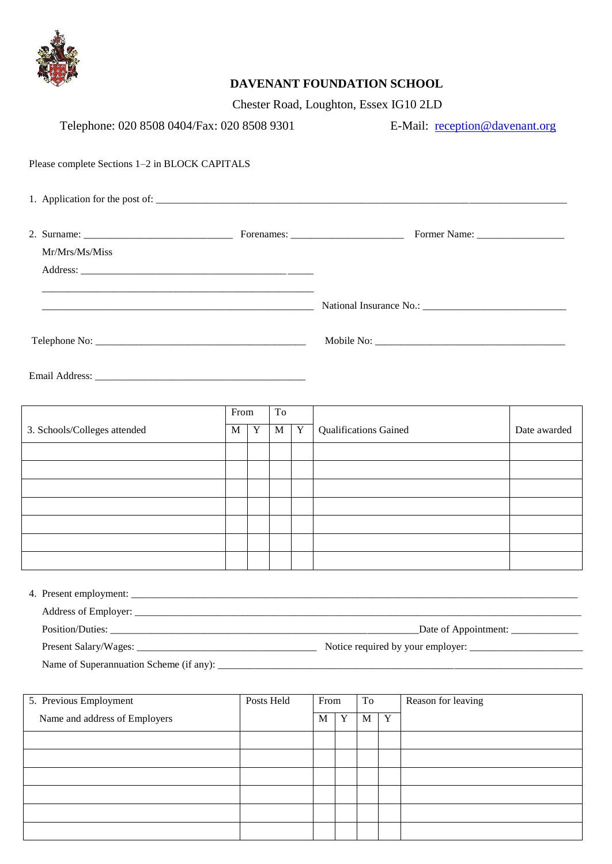

## **DAVENANT FOUNDATION SCHOOL**

Chester Road, Loughton, Essex IG10 2LD

| Telephone: 020 8508 0404/Fax: 020 8508 9301    |            |            |        |  | E-Mail: reception@davenant.org |   |     |  |                                    |              |
|------------------------------------------------|------------|------------|--------|--|--------------------------------|---|-----|--|------------------------------------|--------------|
| Please complete Sections 1-2 in BLOCK CAPITALS |            |            |        |  |                                |   |     |  |                                    |              |
|                                                |            |            |        |  |                                |   |     |  |                                    |              |
|                                                |            |            |        |  |                                |   |     |  |                                    |              |
| Mr/Mrs/Ms/Miss                                 |            |            |        |  |                                |   |     |  |                                    |              |
|                                                |            |            |        |  |                                |   |     |  |                                    |              |
|                                                |            |            |        |  |                                |   |     |  |                                    |              |
|                                                |            |            |        |  |                                |   |     |  |                                    |              |
|                                                | From       | To         |        |  |                                |   |     |  |                                    |              |
| 3. Schools/Colleges attended                   | $M \mid Y$ |            | M<br>Y |  | <b>Qualifications Gained</b>   |   |     |  |                                    | Date awarded |
|                                                |            |            |        |  |                                |   |     |  |                                    |              |
|                                                |            |            |        |  |                                |   |     |  |                                    |              |
|                                                |            |            |        |  |                                |   |     |  |                                    |              |
|                                                |            |            |        |  |                                |   |     |  |                                    |              |
|                                                |            |            |        |  |                                |   |     |  |                                    |              |
|                                                |            |            |        |  |                                |   |     |  |                                    |              |
|                                                |            |            |        |  |                                |   |     |  |                                    |              |
|                                                |            |            |        |  |                                |   |     |  |                                    |              |
|                                                |            |            |        |  |                                |   |     |  | Date of Appointment: _____________ |              |
|                                                |            |            |        |  |                                |   |     |  |                                    |              |
| Name of Superannuation Scheme (if any):        |            |            |        |  |                                |   |     |  |                                    |              |
| 5. Previous Employment                         |            | Posts Held |        |  | From<br>To                     |   |     |  | Reason for leaving                 |              |
| Name and address of Employers                  |            |            |        |  | $M_{\odot}$                    | Y | M Y |  |                                    |              |

| Traine and address of Employers | 17 L | $\mathbf{r}$ | TAT | $\mathbf{r}$ |  |
|---------------------------------|------|--------------|-----|--------------|--|
|                                 |      |              |     |              |  |
|                                 |      |              |     |              |  |
|                                 |      |              |     |              |  |
|                                 |      |              |     |              |  |
|                                 |      |              |     |              |  |
|                                 |      |              |     |              |  |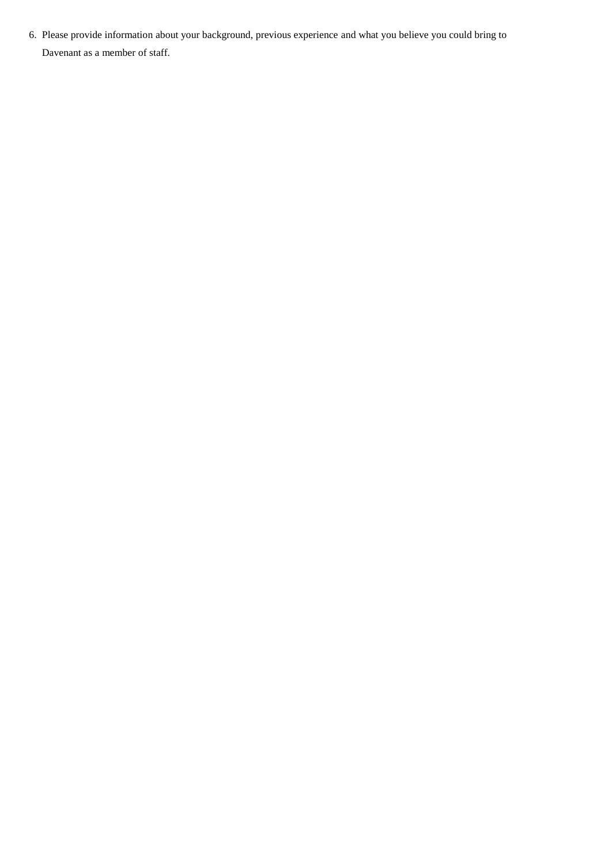6. Please provide information about your background, previous experience and what you believe you could bring to Davenant as a member of staff.